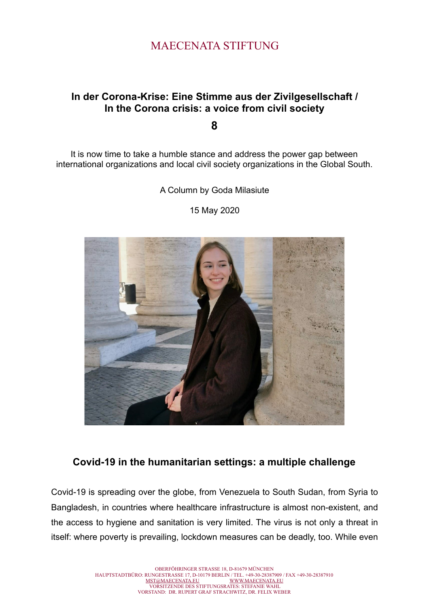# MAECENATA STIFTUNG

## **In der Corona-Krise: Eine Stimme aus der Zivilgesellschaft / In the Corona crisis: a voice from civil society**

**8**

It is now time to take a humble stance and address the power gap between international organizations and local civil society organizations in the Global South.

A Column by Goda Milasiute

15 May 2020



## **Covid-19 in the humanitarian settings: a multiple challenge**

Covid-19 is spreading over the globe, from Venezuela to South Sudan, from Syria to Bangladesh, in countries where healthcare infrastructure is almost non-existent, and the access to hygiene and sanitation is very limited. The virus is not only a threat in itself: where poverty is prevailing, lockdown measures can be deadly, too. While even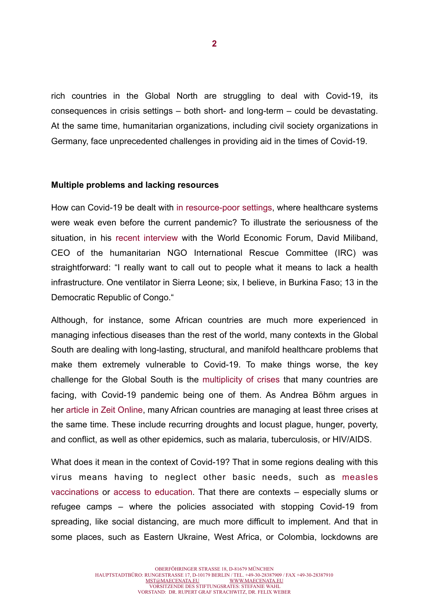rich countries in the Global North are struggling to deal with Covid-19, its consequences in crisis settings – both short- and long-term – could be devastating. At the same time, humanitarian organizations, including civil society organizations in Germany, face unprecedented challenges in providing aid in the times of Covid-19.

### **Multiple problems and lacking resources**

How can Covid-19 be dealt with [in resource-poor settings](https://www.aljazeera.com/amp/indepth/opinion/oxygen-divide-ventilators-europeans-soap-africans-200418100051189.html), where healthcare systems were weak even before the current pandemic? To illustrate the seriousness of the situation, in his [recent interview](https://www.weforum.org/agenda/2020/04/coronavirus-david-miliband-covid-refugees/) with the World Economic Forum, David Miliband, CEO of the humanitarian NGO International Rescue Committee (IRC) was straightforward: "I really want to call out to people what it means to lack a health infrastructure. One ventilator in Sierra Leone; six, I believe, in Burkina Faso; 13 in the Democratic Republic of Congo."

Although, for instance, some African countries are much more experienced in managing infectious diseases than the rest of the world, many contexts in the Global South are dealing with long-lasting, structural, and manifold healthcare problems that make them extremely vulnerable to Covid-19. To make things worse, the key challenge for the Global South is the [multiplicity of crises](https://www.welt-sichten.org/artikel/37574/corona-das-virus-und-andere-krisen) that many countries are facing, with Covid-19 pandemic being one of them. As Andrea Böhm argues in her [article in Zeit Online](https://www.zeit.de/2020/17/corona-afrika-krise-ebola-infektionen-krankheiten-lockdown), many African countries are managing at least three crises at the same time. These include recurring droughts and locust plague, hunger, poverty, and conflict, as well as other epidemics, such as malaria, tuberculosis, or HIV/AIDS.

What does it mean in the context of Covid-19? That in some regions dealing with this virus means having to neglect other basic needs, such as [measles](https://www.reuters.com/article/us-health-coronavirus-measles-idUSKCN21V28U) [vaccinations](https://www.reuters.com/article/us-health-coronavirus-measles-idUSKCN21V28U) or [access to education.](https://news.un.org/en/story/2020/04/1062232) That there are contexts – especially slums or refugee camps – where the policies associated with stopping Covid-19 from spreading, like social distancing, are much more difficult to implement. And that in some places, such as Eastern Ukraine, West Africa, or Colombia, lockdowns are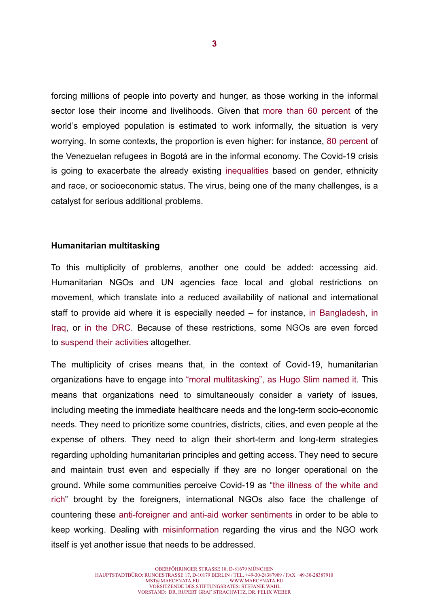forcing millions of people into poverty and hunger, as those working in the informal sector lose their income and livelihoods. Given that [more than 60 percent](https://www.ilo.org/global/about-the-ilo/newsroom/news/WCMS_627189/lang--en/index.htm) of the world's employed population is estimated to work informally, the situation is very worrying. In some contexts, the proportion is even higher: for instance, [80 percent](https://www.thenewhumanitarian.org/feature/2020/04/22/Venezuela-Colombia-migrants-coronavirus) of the Venezuelan refugees in Bogotá are in the informal economy. The Covid-19 crisis is going to exacerbate the already existing [inequalities](https://views-voices.oxfam.org.uk/2020/04/5-reasons-why-the-coronavirus-crisis-needs-a-feminist-response-now/) based on gender, ethnicity and race, or socioeconomic status. The virus, being one of the many challenges, is a catalyst for serious additional problems.

#### **Humanitarian multitasking**

To this multiplicity of problems, another one could be added: accessing aid. Humanitarian NGOs and UN agencies face local and global restrictions on movement, which translate into a reduced availability of national and international staff to provide aid where it is especially needed – for instance, [in Bangladesh](https://www.thenewhumanitarian.org/news/2020/04/30/coronavirus-humanitarian-aid-response#bangladesh), [in](https://reliefweb.int/sites/reliefweb.int/files/resources/Briefing%2520Note_COVID-19%2520The%2520immediate%2520and%2520potential%2520long-term%2520risks%2520to%2520vulnerable%2520populations%2520in%2520Iraq%2520_24%2520March%25202020.pdf) [Iraq,](https://reliefweb.int/sites/reliefweb.int/files/resources/Briefing%2520Note_COVID-19%2520The%2520immediate%2520and%2520potential%2520long-term%2520risks%2520to%2520vulnerable%2520populations%2520in%2520Iraq%2520_24%2520March%25202020.pdf) or [in the DRC](https://www.thenewhumanitarian.org/news/2020/04/30/coronavirus-humanitarian-aid-response#congo). Because of these restrictions, some NGOs are even forced to [suspend their activities](https://reliefweb.int/sites/reliefweb.int/files/resources/Briefing%2520Note_COVID-19%2520The%2520immediate%2520and%2520potential%2520long-term%2520risks%2520to%2520vulnerable%2520populations%2520in%2520Iraq%2520_24%2520March%25202020.pdf) altogether.

The multiplicity of crises means that, in the context of Covid-19, humanitarian organizations have to engage into ["moral multitasking", as Hugo Slim named it](https://www.thenewhumanitarian.org/opinion/2020/04/15/coronavirus-ethics-humanitarian-aid). This means that organizations need to simultaneously consider a variety of issues, including meeting the immediate healthcare needs and the long-term socio-economic needs. They need to prioritize some countries, districts, cities, and even people at the expense of others. They need to align their short-term and long-term strategies regarding upholding humanitarian principles and getting access. They need to secure and maintain trust even and especially if they are no longer operational on the ground. While some communities perceive Covid-19 as ["the illness of the white and](https://www.welt-sichten.org/artikel/37619/covid-19-eine-krankheit-der-weissen-und-reichen) [rich](https://www.welt-sichten.org/artikel/37619/covid-19-eine-krankheit-der-weissen-und-reichen)" brought by the foreigners, international NGOs also face the challenge of countering these [anti-foreigner and anti-aid worker sentiments](https://reliefweb.int/sites/reliefweb.int/files/resources/Bulletin-3-Aid-Security-and-COVID-19.pdf) in order to be able to keep working. Dealing with [misinformation](https://www.thenewhumanitarian.org/news/2020/04/30/coronavirus-humanitarian-aid-response#nigeria) regarding the virus and the NGO work itself is yet another issue that needs to be addressed.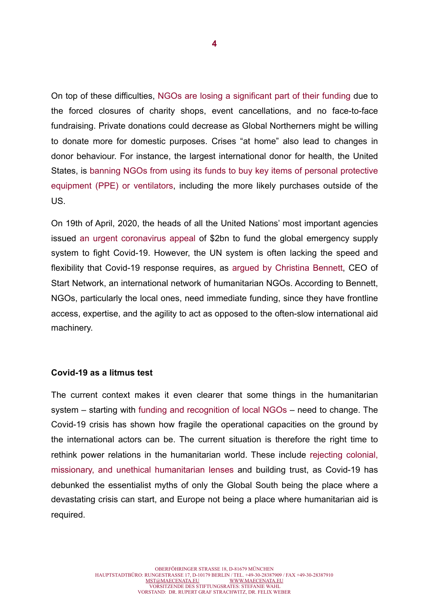On top of these difficulties, [NGOs are losing a significant part of their funding](https://www.theguardian.com/global-development/2020/apr/27/pandemic-jeopardises-support-for-worlds-poor-as-charities-lose-millions-covid-19) due to the forced closures of charity shops, event cancellations, and no face-to-face fundraising. Private donations could decrease as Global Northerners might be willing to donate more for domestic purposes. Crises "at home" also lead to changes in donor behaviour. For instance, the largest international donor for health, the United States, is [banning NGOs from using its funds to buy key items of personal protective](https://www.thenewhumanitarian.org/news/2020/04/29/USAID-bans-masks-and-gloves-NGO-grants) [equipment \(PPE\) or ventilators, including the more likely purchases outside of the](https://www.thenewhumanitarian.org/news/2020/04/29/USAID-bans-masks-and-gloves-NGO-grants) US.

On 19th of April, 2020, the heads of all the United Nations' most important agencies issued [an urgent coronavirus appeal](https://medium.com/humanitarian-dispatches/an-urgent-call-to-fund-the-global-emergency-supply-system-to-fight-covid-19-ea063658f7d9) of \$2bn to fund the global emergency supply system to fight Covid-19. However, the UN system is often lacking the speed and flexibility that Covid-19 response requires, as [argued by Christina Bennett](http://www.thenewhumanitarian.org/opinion/2020/04/21/coronavirus-funding-NGOs-slow), CEO of Start Network, an international network of humanitarian NGOs. According to Bennett, NGOs, particularly the local ones, need immediate funding, since they have frontline access, expertise, and the agility to act as opposed to the often-slow international aid machinery.

#### **Covid-19 as a litmus test**

The current context makes it even clearer that some things in the humanitarian system – starting with [funding and recognition of local NGOs](https://www.kaldorcentre.unsw.edu.au/publication/localisation-humanitarian-assistance-response-covid-19?fbclid=IwAR0XMtYSxyEqapaUZkDogclGmBeduUbSGQ2ZAL6fAt6GnMR7elVBNMvpvmU) – need to change. The Covid-19 crisis has shown how fragile the operational capacities on the ground by the international actors can be. The current situation is therefore the right time to rethink power relations in the humanitarian world. These include [rejecting colonial,](https://www.aljazeera.com/indepth/opinion/pandemic-catalyst-decolonisation-africa-200415150535786.html?fbclid=IwAR34eEcIvoiuK2nLmO_kpHvT4MrS9qaI7ovLCVvrG9LvET1xSqIyKMmWkjw) [missionary, and unethical humanitarian lenses](https://www.aljazeera.com/indepth/opinion/pandemic-catalyst-decolonisation-africa-200415150535786.html?fbclid=IwAR34eEcIvoiuK2nLmO_kpHvT4MrS9qaI7ovLCVvrG9LvET1xSqIyKMmWkjw) and building trust, as Covid-19 has debunked the essentialist myths of only the Global South being the place where a devastating crisis can start, and Europe not being a place where humanitarian aid is required.

**4**